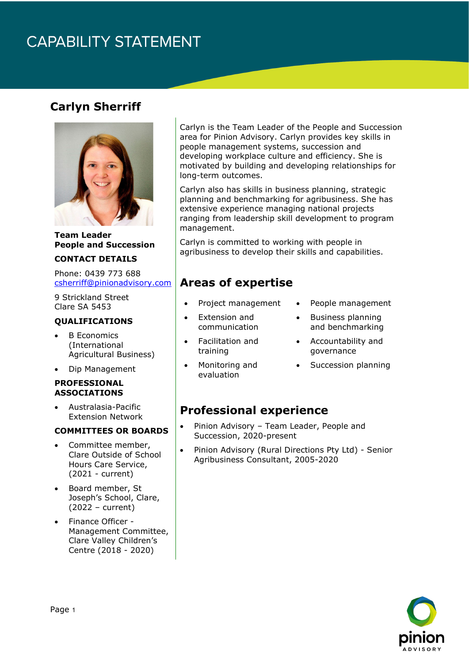# **CAPABILITY STATEMENT**

### **Carlyn Sherriff**



#### **Team Leader People and Succession**

#### **CONTACT DETAILS**

Phone: 0439 773 688 [csherriff@pinionadvisory.com](mailto:csherriff@pinionadvisory.com)

9 Strickland Street Clare SA 5453

#### **QUALIFICATIONS**

- **B** Economics (International Agricultural Business)
- Dip Management

#### **PROFESSIONAL ASSOCIATIONS**

• Australasia-Pacific Extension Network

#### **COMMITTEES OR BOARDS**

- Committee member, Clare Outside of School Hours Care Service, (2021 - current)
- Board member, St Joseph's School, Clare, (2022 – current)
- Finance Officer Management Committee, Clare Valley Children's Centre (2018 - 2020)

Carlyn is the Team Leader of the People and Succession area for Pinion Advisory. Carlyn provides key skills in people management systems, succession and developing workplace culture and efficiency. She is motivated by building and developing relationships for long-term outcomes.

Carlyn also has skills in business planning, strategic planning and benchmarking for agribusiness. She has extensive experience managing national projects ranging from leadership skill development to program management.

Carlyn is committed to working with people in agribusiness to develop their skills and capabilities.

### **Areas of expertise**

- Project management
- Extension and communication
- Facilitation and training
- People management
- Business planning and benchmarking
- Accountability and governance
- Succession planning
- Monitoring and evaluation
- **Professional experience**
- Pinion Advisory Team Leader, People and Succession, 2020-present
- Pinion Advisory (Rural Directions Pty Ltd) Senior Agribusiness Consultant, 2005-2020